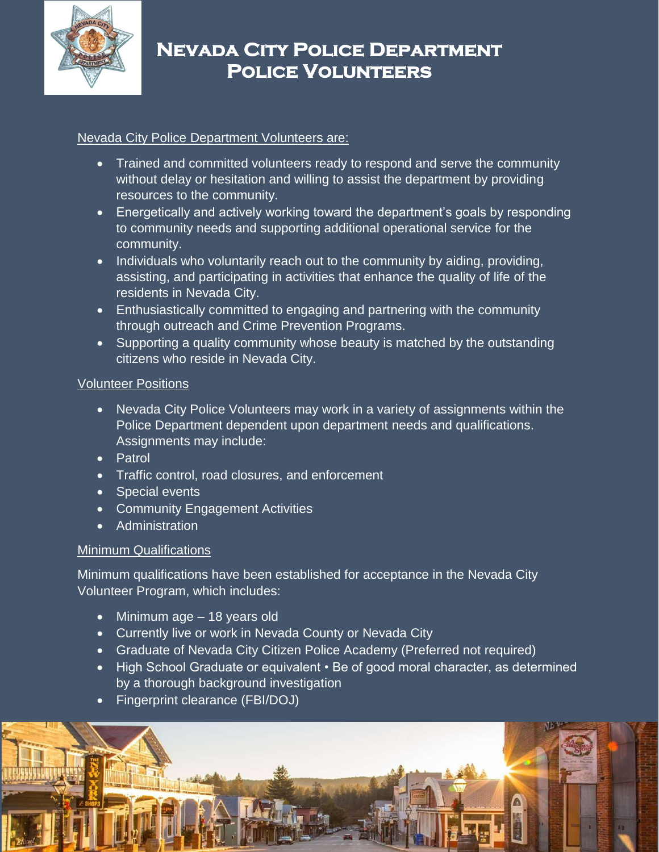

# **Nevada City Police Department Police Volunteers**

## Nevada City Police Department Volunteers are:

- Trained and committed volunteers ready to respond and serve the community without delay or hesitation and willing to assist the department by providing resources to the community.
- Energetically and actively working toward the department's goals by responding to community needs and supporting additional operational service for the community.
- Individuals who voluntarily reach out to the community by aiding, providing, assisting, and participating in activities that enhance the quality of life of the residents in Nevada City.
- Enthusiastically committed to engaging and partnering with the community through outreach and Crime Prevention Programs.
- Supporting a quality community whose beauty is matched by the outstanding citizens who reside in Nevada City.

## Volunteer Positions

- Nevada City Police Volunteers may work in a variety of assignments within the Police Department dependent upon department needs and qualifications. Assignments may include:
- Patrol
- **•** Traffic control, road closures, and enforcement
- Special events
- Community Engagement Activities
- Administration

## Minimum Qualifications

Minimum qualifications have been established for acceptance in the Nevada City Volunteer Program, which includes:

- Minimum age 18 years old
- Currently live or work in Nevada County or Nevada City
- Graduate of Nevada City Citizen Police Academy (Preferred not required)
- High School Graduate or equivalent Be of good moral character, as determined by a thorough background investigation
- Fingerprint clearance (FBI/DOJ)